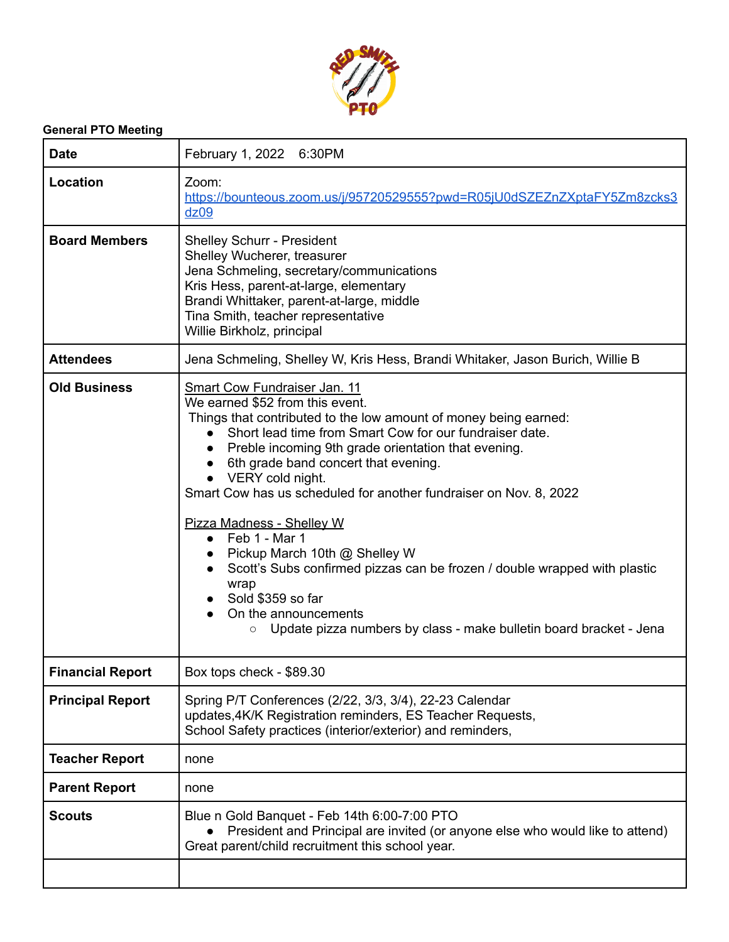

## **General PTO Meeting**

| <b>Date</b>             | February 1, 2022 6:30PM                                                                                                                                                                                                                                                                                                                                                                                                                                                                                                                                                                                                                                                                                                                                                  |
|-------------------------|--------------------------------------------------------------------------------------------------------------------------------------------------------------------------------------------------------------------------------------------------------------------------------------------------------------------------------------------------------------------------------------------------------------------------------------------------------------------------------------------------------------------------------------------------------------------------------------------------------------------------------------------------------------------------------------------------------------------------------------------------------------------------|
| Location                | Zoom:<br>https://bounteous.zoom.us/j/95720529555?pwd=R05jU0dSZEZnZXptaFY5Zm8zcks3<br>dz09                                                                                                                                                                                                                                                                                                                                                                                                                                                                                                                                                                                                                                                                                |
| <b>Board Members</b>    | <b>Shelley Schurr - President</b><br>Shelley Wucherer, treasurer<br>Jena Schmeling, secretary/communications<br>Kris Hess, parent-at-large, elementary<br>Brandi Whittaker, parent-at-large, middle<br>Tina Smith, teacher representative<br>Willie Birkholz, principal                                                                                                                                                                                                                                                                                                                                                                                                                                                                                                  |
| <b>Attendees</b>        | Jena Schmeling, Shelley W, Kris Hess, Brandi Whitaker, Jason Burich, Willie B                                                                                                                                                                                                                                                                                                                                                                                                                                                                                                                                                                                                                                                                                            |
| <b>Old Business</b>     | Smart Cow Fundraiser Jan. 11<br>We earned \$52 from this event.<br>Things that contributed to the low amount of money being earned:<br>Short lead time from Smart Cow for our fundraiser date.<br>$\bullet$<br>Preble incoming 9th grade orientation that evening.<br>$\bullet$<br>6th grade band concert that evening.<br>$\bullet$<br>• VERY cold night.<br>Smart Cow has us scheduled for another fundraiser on Nov. 8, 2022<br>Pizza Madness - Shelley W<br>Feb 1 - Mar 1<br>$\bullet$<br>Pickup March 10th @ Shelley W<br>$\bullet$<br>Scott's Subs confirmed pizzas can be frozen / double wrapped with plastic<br>wrap<br>Sold \$359 so far<br>$\bullet$<br>On the announcements<br>Update pizza numbers by class - make bulletin board bracket - Jena<br>$\circ$ |
| <b>Financial Report</b> | Box tops check - \$89.30                                                                                                                                                                                                                                                                                                                                                                                                                                                                                                                                                                                                                                                                                                                                                 |
| <b>Principal Report</b> | Spring P/T Conferences (2/22, 3/3, 3/4), 22-23 Calendar<br>updates, 4K/K Registration reminders, ES Teacher Requests,<br>School Safety practices (interior/exterior) and reminders,                                                                                                                                                                                                                                                                                                                                                                                                                                                                                                                                                                                      |
| <b>Teacher Report</b>   | none                                                                                                                                                                                                                                                                                                                                                                                                                                                                                                                                                                                                                                                                                                                                                                     |
| <b>Parent Report</b>    | none                                                                                                                                                                                                                                                                                                                                                                                                                                                                                                                                                                                                                                                                                                                                                                     |
| <b>Scouts</b>           | Blue n Gold Banquet - Feb 14th 6:00-7:00 PTO<br>President and Principal are invited (or anyone else who would like to attend)<br>Great parent/child recruitment this school year.                                                                                                                                                                                                                                                                                                                                                                                                                                                                                                                                                                                        |
|                         |                                                                                                                                                                                                                                                                                                                                                                                                                                                                                                                                                                                                                                                                                                                                                                          |